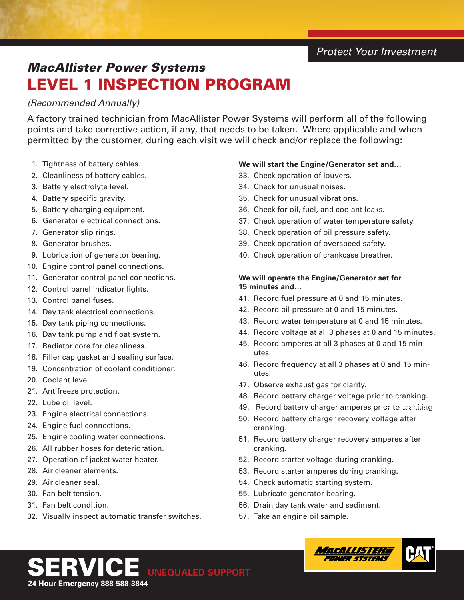## *Protect Your Investment*

# *MacAllister Power Systems* LEVEL 1 INSPECTION PROGRAM

## *(Recommended Annually)*

A factory trained technician from MacAllister Power Systems will perform all of the following points and take corrective action, if any, that needs to be taken. Where applicable and when permitted by the customer, during each visit we will check and/or replace the following:

- 1. Tightness of battery cables.
- 2. Cleanliness of battery cables.
- 3. Battery electrolyte level.
- 4. Battery specific gravity.
- 5. Battery charging equipment.
- 6. Generator electrical connections.
- 7. Generator slip rings.
- 8. Generator brushes.
- 9. Lubrication of generator bearing.
- 10. Engine control panel connections.
- 11. Generator control panel connections.
- 12. Control panel indicator lights.
- 13. Control panel fuses.
- 14. Day tank electrical connections.
- 15. Day tank piping connections.
- 16. Day tank pump and float system.
- 17. Radiator core for cleanliness.
- 18. Filler cap gasket and sealing surface.
- 19. Concentration of coolant conditioner.
- 20. Coolant level.
- 21. Antifreeze protection.
- 22. Lube oil level.
- 23. Engine electrical connections.
- 24. Engine fuel connections.
- 25. Engine cooling water connections.
- 26. All rubber hoses for deterioration.
- 27. Operation of jacket water heater.
- 28. Air cleaner elements.
- 29. Air cleaner seal.
- 30. Fan belt tension.
- 31. Fan belt condition.
- 32. Visually inspect automatic transfer switches.

### **We will start the Engine/Generator set and…**

- 33. Check operation of louvers.
- 34. Check for unusual noises.
- 35. Check for unusual vibrations.
- 36. Check for oil, fuel, and coolant leaks.
- 37. Check operation of water temperature safety.
- 38. Check operation of oil pressure safety.
- 39. Check operation of overspeed safety.
- 40. Check operation of crankcase breather.

#### **We will operate the Engine/Generator set for 15 minutes and…**

- 41. Record fuel pressure at 0 and 15 minutes.
- 42. Record oil pressure at 0 and 15 minutes.
- 43. Record water temperature at 0 and 15 minutes.
- 44. Record voltage at all 3 phases at 0 and 15 minutes.
- 45. Record amperes at all 3 phases at 0 and 15 minutes.
- 46. Record frequency at all 3 phases at 0 and 15 minutes.
- 47. Observe exhaust gas for clarity.
- 48. Record battery charger voltage prior to cranking.
- **49. Record battery charger amperes prior to cranking.**
- 50. Record battery charger recovery voltage after cranking.
- 51. Record battery charger recovery amperes after cranking.
- 52. Record starter voltage during cranking.
- 53. Record starter amperes during cranking.
- 54. Check automatic starting system.
- 55. Lubricate generator bearing.
- 56. Drain day tank water and sediment.
- 57. Take an engine oil sample.